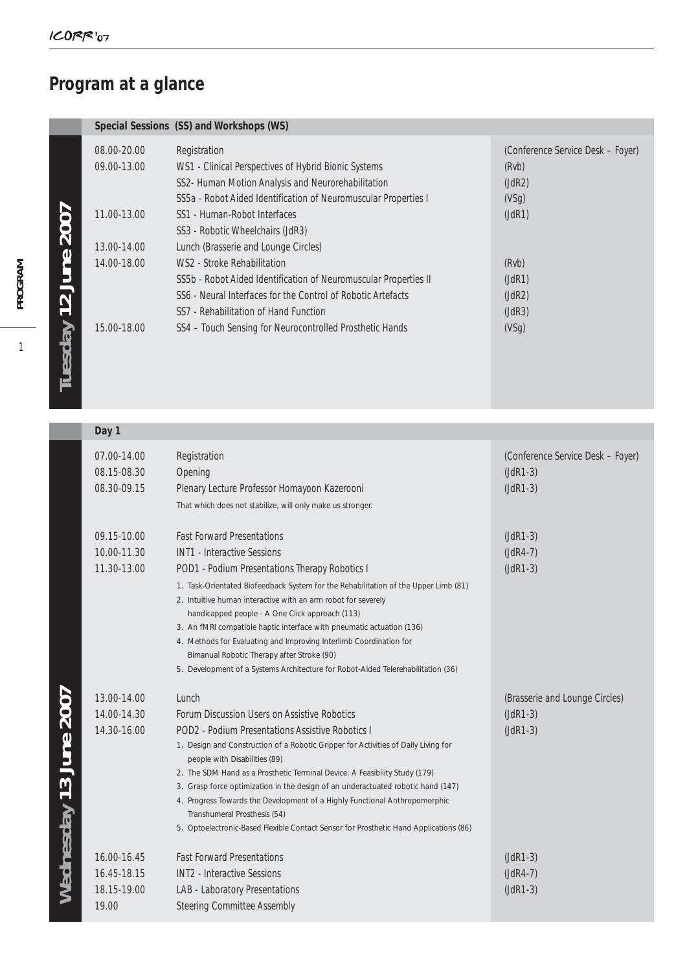## **Program at a glance**

| Special Sessions (SS) and Workshops (WS) |
|------------------------------------------|

|                   | 08.00-20.00 | Registration                                                     | (Conference Service Desk - Foyer) |
|-------------------|-------------|------------------------------------------------------------------|-----------------------------------|
|                   | 09.00-13.00 | WS1 - Clinical Perspectives of Hybrid Bionic Systems             | (Rvb)                             |
|                   |             | SS2- Human Motion Analysis and Neurorehabilitation               | (JdR2)                            |
|                   |             | SS5a - Robot Aided Identification of Neuromuscular Properties I  | (VSq)                             |
|                   | 11.00-13.00 | SS1 - Human-Robot Interfaces                                     | (JdR1)                            |
| <b>2007</b>       |             | SS3 - Robotic Wheelchairs (JdR3)                                 |                                   |
|                   | 13.00-14.00 | Lunch (Brasserie and Lounge Circles)                             |                                   |
| June              | 14.00-18.00 | WS2 - Stroke Rehabilitation                                      | (Rvb)                             |
|                   |             | SS5b - Robot Aided Identification of Neuromuscular Properties II | (JdR1)                            |
| $\mathbf{\Omega}$ |             | SS6 - Neural Interfaces for the Control of Robotic Artefacts     | (JdR2)                            |
|                   |             | SS7 - Rehabilitation of Hand Function                            | (JdR3)                            |
|                   | 15.00-18.00 | SS4 - Touch Sensing for Neurocontrolled Prosthetic Hands         | (VSq)                             |
| Tuesday           |             |                                                                  |                                   |
|                   |             |                                                                  |                                   |
|                   |             |                                                                  |                                   |
|                   |             |                                                                  |                                   |

| Day 1                                              |                                                                                                                                                                                                                                                                                                                                                                                                                                                                                                                                                                                                                       |                                                               |
|----------------------------------------------------|-----------------------------------------------------------------------------------------------------------------------------------------------------------------------------------------------------------------------------------------------------------------------------------------------------------------------------------------------------------------------------------------------------------------------------------------------------------------------------------------------------------------------------------------------------------------------------------------------------------------------|---------------------------------------------------------------|
| 07.00-14.00<br>08.15-08.30<br>08.30-09.15          | Registration<br>Opening<br>Plenary Lecture Professor Homayoon Kazerooni<br>That which does not stabilize, will only make us stronger.                                                                                                                                                                                                                                                                                                                                                                                                                                                                                 | (Conference Service Desk - Foyer)<br>$(JdR1-3)$<br>$(JdR1-3)$ |
| 09.15-10.00<br>10.00-11.30<br>11.30-13.00          | <b>Fast Forward Presentations</b><br><b>INT1 - Interactive Sessions</b><br>POD1 - Podium Presentations Therapy Robotics I<br>1. Task-Orientated Biofeedback System for the Rehabilitation of the Upper Limb (81)<br>2. Intuitive human interactive with an arm robot for severely<br>handicapped people - A One Click approach (113)<br>3. An fMRI compatible haptic interface with pneumatic actuation (136)<br>4. Methods for Evaluating and Improving Interlimb Coordination for<br>Bimanual Robotic Therapy after Stroke (90)<br>5. Development of a Systems Architecture for Robot-Aided Telerehabilitation (36) | $(JdR1-3)$<br>$(JdR4-7)$<br>$(JdR1-3)$                        |
| 13.00-14.00<br>14.00-14.30<br>14.30-16.00          | Lunch<br>Forum Discussion Users on Assistive Robotics<br>POD2 - Podium Presentations Assistive Robotics I<br>1. Design and Construction of a Robotic Gripper for Activities of Daily Living for<br>people with Disabilities (89)<br>2. The SDM Hand as a Prosthetic Terminal Device: A Feasibility Study (179)<br>3. Grasp force optimization in the design of an underactuated robotic hand (147)<br>4. Progress Towards the Development of a Highly Functional Anthropomorphic<br>Transhumeral Prosthesis (54)<br>5. Optoelectronic-Based Flexible Contact Sensor for Prosthetic Hand Applications (86)             | (Brasserie and Lounge Circles)<br>$(JdR1-3)$<br>$(JdR1-3)$    |
| 16.00-16.45<br>16.45-18.15<br>18.15-19.00<br>19.00 | <b>Fast Forward Presentations</b><br><b>INT2</b> - Interactive Sessions<br>LAB - Laboratory Presentations<br><b>Steering Committee Assembly</b>                                                                                                                                                                                                                                                                                                                                                                                                                                                                       | $(JdR1-3)$<br>$(JdR4-7)$<br>$(JdR1-3)$                        |

Wednesday 13 June 2007 **Wednesday 13 June 2007**